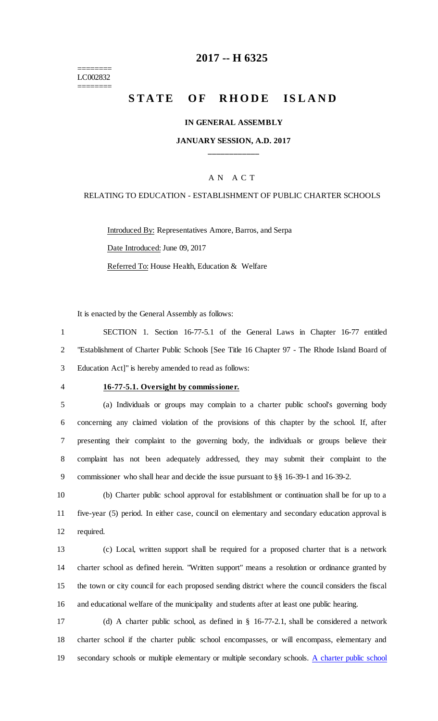======== LC002832 ========

# **-- H 6325**

# STATE OF RHODE ISLAND

#### **IN GENERAL ASSEMBLY**

## **JANUARY SESSION, A.D. 2017 \_\_\_\_\_\_\_\_\_\_\_\_**

### A N A C T

### RELATING TO EDUCATION - ESTABLISHMENT OF PUBLIC CHARTER SCHOOLS

Introduced By: Representatives Amore, Barros, and Serpa Date Introduced: June 09, 2017 Referred To: House Health, Education & Welfare

It is enacted by the General Assembly as follows:

 SECTION 1. Section 16-77-5.1 of the General Laws in Chapter 16-77 entitled "Establishment of Charter Public Schools [See Title 16 Chapter 97 - The Rhode Island Board of Education Act]" is hereby amended to read as follows:

#### **16-77-5.1. Oversight by commissioner.**

 (a) Individuals or groups may complain to a charter public school's governing body concerning any claimed violation of the provisions of this chapter by the school. If, after presenting their complaint to the governing body, the individuals or groups believe their complaint has not been adequately addressed, they may submit their complaint to the commissioner who shall hear and decide the issue pursuant to §§ 16-39-1 and 16-39-2.

 (b) Charter public school approval for establishment or continuation shall be for up to a five-year (5) period. In either case, council on elementary and secondary education approval is required.

 (c) Local, written support shall be required for a proposed charter that is a network charter school as defined herein. "Written support" means a resolution or ordinance granted by the town or city council for each proposed sending district where the council considers the fiscal and educational welfare of the municipality and students after at least one public hearing.

 (d) A charter public school, as defined in § 16-77-2.1, shall be considered a network charter school if the charter public school encompasses, or will encompass, elementary and secondary schools or multiple elementary or multiple secondary schools. A charter public school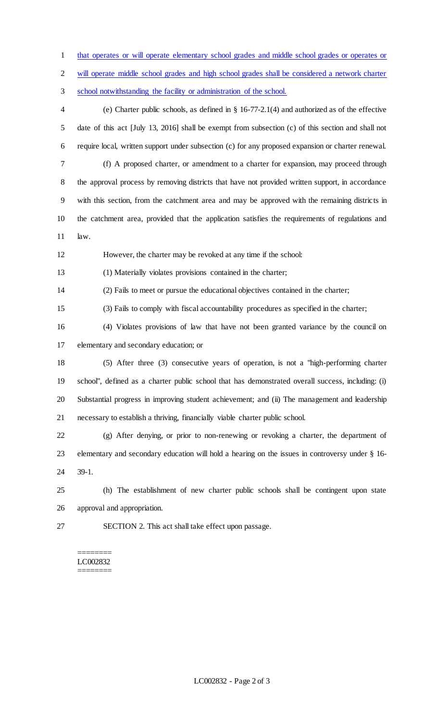that operates or will operate elementary school grades and middle school grades or operates or will operate middle school grades and high school grades shall be considered a network charter school notwithstanding the facility or administration of the school. (e) Charter public schools, as defined in § 16-77-2.1(4) and authorized as of the effective date of this act [July 13, 2016] shall be exempt from subsection (c) of this section and shall not require local, written support under subsection (c) for any proposed expansion or charter renewal. (f) A proposed charter, or amendment to a charter for expansion, may proceed through the approval process by removing districts that have not provided written support, in accordance with this section, from the catchment area and may be approved with the remaining districts in the catchment area, provided that the application satisfies the requirements of regulations and law. However, the charter may be revoked at any time if the school: (1) Materially violates provisions contained in the charter; (2) Fails to meet or pursue the educational objectives contained in the charter; (3) Fails to comply with fiscal accountability procedures as specified in the charter; (4) Violates provisions of law that have not been granted variance by the council on elementary and secondary education; or (5) After three (3) consecutive years of operation, is not a "high-performing charter school", defined as a charter public school that has demonstrated overall success, including: (i) Substantial progress in improving student achievement; and (ii) The management and leadership necessary to establish a thriving, financially viable charter public school. (g) After denying, or prior to non-renewing or revoking a charter, the department of elementary and secondary education will hold a hearing on the issues in controversy under § 16- 39-1. (h) The establishment of new charter public schools shall be contingent upon state approval and appropriation. SECTION 2. This act shall take effect upon passage.

#### ======== LC002832 ========